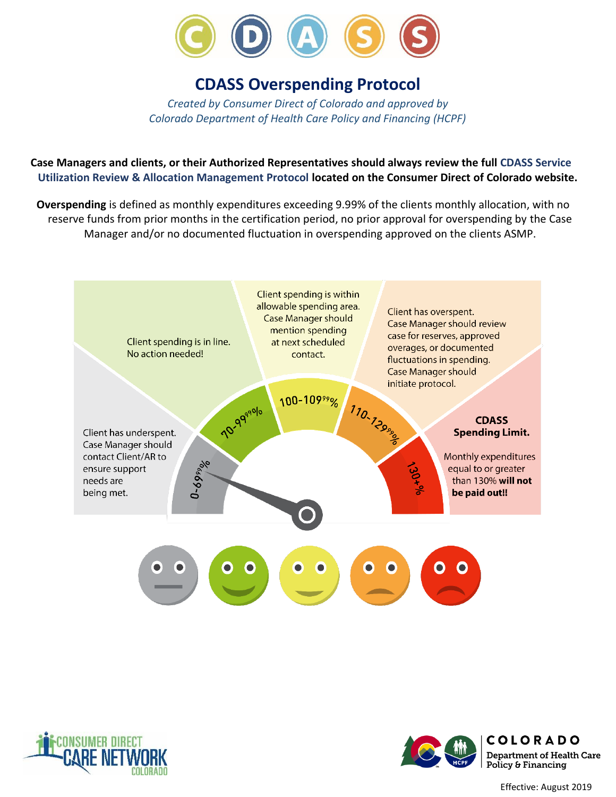

# **CDASS Overspending Protocol**

*Created by Consumer Direct of Colorado and approved by Colorado Department of Health Care Policy and Financing (HCPF)*

**Case Managers and clients, or their Authorized Representatives should always review the full CDASS Service Utilization Review & Allocation Management Protocol located on the Consumer Direct of Colorado website.**

**Overspending** is defined as monthly expenditures exceeding 9.99% of the clients monthly allocation, with no reserve funds from prior months in the certification period, no prior approval for overspending by the Case Manager and/or no documented fluctuation in overspending approved on the clients ASMP.





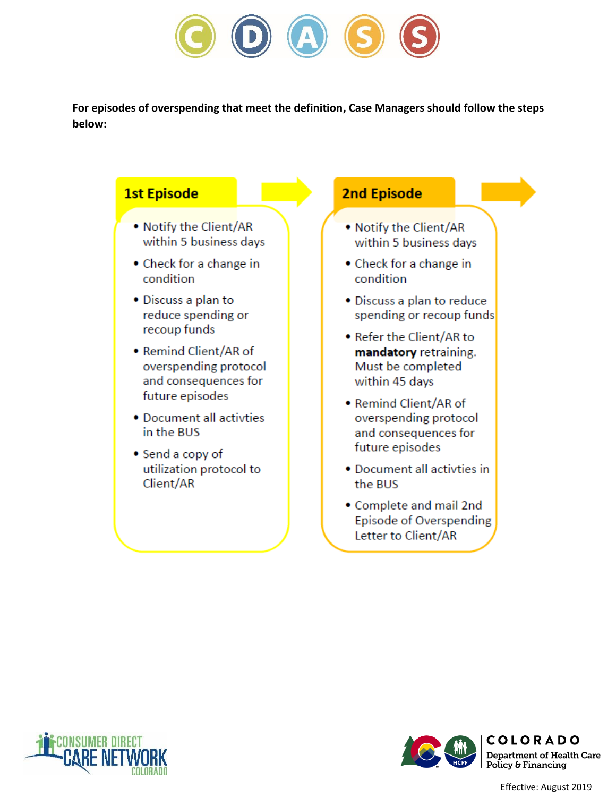

**For episodes of overspending that meet the definition, Case Managers should follow the steps below:** 

#### **1st Episode 2nd Episode** . Notify the Client/AR . Notify the Client/AR within 5 business days within 5 business days • Check for a change in • Check for a change in condition condition • Discuss a plan to • Discuss a plan to reduce reduce spending or spending or recoup funds recoup funds • Refer the Client/AR to • Remind Client/AR of mandatory retraining. overspending protocol Must be completed and consequences for within 45 days future episodes • Remind Client/AR of • Document all activties overspending protocol in the BUS and consequences for future episodes • Send a copy of utilization protocol to • Document all activties in Client/AR the BUS • Complete and mail 2nd Episode of Overspending Letter to Client/AR





Effective: August 2019